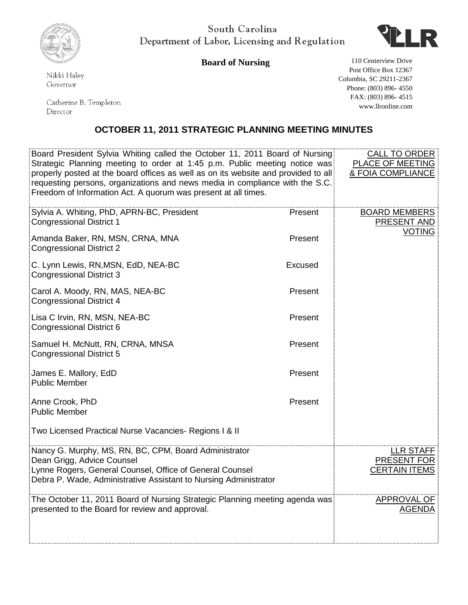



**Board of Nursing** 110 Centerview Drive

Nikki Haley Governor

Catherine B. Templeton Director

Post Office Box 12367 Columbia, SC 29211-2367 Phone: (803) 896- 4550 FAX: (803) 896- 4515 www.llronline.com

## **OCTOBER 11, 2011 STRATEGIC PLANNING MEETING MINUTES**

| Board President Sylvia Whiting called the October 11, 2011 Board of Nursing<br>Strategic Planning meeting to order at 1:45 p.m. Public meeting notice was<br>properly posted at the board offices as well as on its website and provided to all<br>requesting persons, organizations and news media in compliance with the S.C.<br>Freedom of Information Act. A quorum was present at all times. |         | <b>CALL TO ORDER</b><br>PLACE OF MEETING<br>& FOIA COMPLIANCE  |
|---------------------------------------------------------------------------------------------------------------------------------------------------------------------------------------------------------------------------------------------------------------------------------------------------------------------------------------------------------------------------------------------------|---------|----------------------------------------------------------------|
| Sylvia A. Whiting, PhD, APRN-BC, President<br><b>Congressional District 1</b>                                                                                                                                                                                                                                                                                                                     | Present | <b>BOARD MEMBERS</b><br><b>PRESENT AND</b>                     |
| Amanda Baker, RN, MSN, CRNA, MNA<br><b>Congressional District 2</b>                                                                                                                                                                                                                                                                                                                               | Present | <b>VOTING</b>                                                  |
| C. Lynn Lewis, RN, MSN, EdD, NEA-BC<br><b>Congressional District 3</b>                                                                                                                                                                                                                                                                                                                            | Excused |                                                                |
| Carol A. Moody, RN, MAS, NEA-BC<br><b>Congressional District 4</b>                                                                                                                                                                                                                                                                                                                                | Present |                                                                |
| Lisa C Irvin, RN, MSN, NEA-BC<br><b>Congressional District 6</b>                                                                                                                                                                                                                                                                                                                                  | Present |                                                                |
| Samuel H. McNutt, RN, CRNA, MNSA<br><b>Congressional District 5</b>                                                                                                                                                                                                                                                                                                                               | Present |                                                                |
| James E. Mallory, EdD<br><b>Public Member</b>                                                                                                                                                                                                                                                                                                                                                     | Present |                                                                |
| Anne Crook, PhD<br><b>Public Member</b>                                                                                                                                                                                                                                                                                                                                                           | Present |                                                                |
| Two Licensed Practical Nurse Vacancies- Regions I & II                                                                                                                                                                                                                                                                                                                                            |         |                                                                |
| Nancy G. Murphy, MS, RN, BC, CPM, Board Administrator<br>Dean Grigg, Advice Counsel<br>Lynne Rogers, General Counsel, Office of General Counsel<br>Debra P. Wade, Administrative Assistant to Nursing Administrator                                                                                                                                                                               |         | <b>LLR STAFF</b><br><b>PRESENT FOR</b><br><b>CERTAIN ITEMS</b> |
| The October 11, 2011 Board of Nursing Strategic Planning meeting agenda was<br>presented to the Board for review and approval.                                                                                                                                                                                                                                                                    |         | APPROVAL OF<br><b>AGENDA</b>                                   |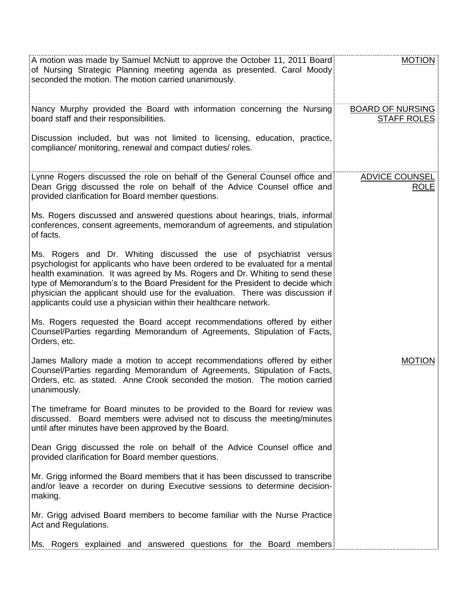| A motion was made by Samuel McNutt to approve the October 11, 2011 Board<br>of Nursing Strategic Planning meeting agenda as presented. Carol Moody<br>seconded the motion. The motion carried unanimously.                                                                                                                                                                                                                                                                     | <b>MOTION</b>                                 |
|--------------------------------------------------------------------------------------------------------------------------------------------------------------------------------------------------------------------------------------------------------------------------------------------------------------------------------------------------------------------------------------------------------------------------------------------------------------------------------|-----------------------------------------------|
| Nancy Murphy provided the Board with information concerning the Nursing<br>board staff and their responsibilities.                                                                                                                                                                                                                                                                                                                                                             | <b>BOARD OF NURSING</b><br><b>STAFF ROLES</b> |
| Discussion included, but was not limited to licensing, education, practice,<br>compliance/ monitoring, renewal and compact duties/ roles.                                                                                                                                                                                                                                                                                                                                      |                                               |
| Lynne Rogers discussed the role on behalf of the General Counsel office and<br>Dean Grigg discussed the role on behalf of the Advice Counsel office and<br>provided clarification for Board member questions.                                                                                                                                                                                                                                                                  | <b>ADVICE COUNSEL</b><br><b>ROLE</b>          |
| Ms. Rogers discussed and answered questions about hearings, trials, informal<br>conferences, consent agreements, memorandum of agreements, and stipulation<br>of facts.                                                                                                                                                                                                                                                                                                        |                                               |
| Ms. Rogers and Dr. Whiting discussed the use of psychiatrist versus<br>psychologist for applicants who have been ordered to be evaluated for a mental<br>health examination. It was agreed by Ms. Rogers and Dr. Whiting to send these<br>type of Memorandum's to the Board President for the President to decide which<br>physician the applicant should use for the evaluation. There was discussion if<br>applicants could use a physician within their healthcare network. |                                               |
| Ms. Rogers requested the Board accept recommendations offered by either<br>Counsel/Parties regarding Memorandum of Agreements, Stipulation of Facts,<br>Orders, etc.                                                                                                                                                                                                                                                                                                           |                                               |
| James Mallory made a motion to accept recommendations offered by either<br>Counsel/Parties regarding Memorandum of Agreements, Stipulation of Facts,<br>Orders, etc. as stated. Anne Crook seconded the motion. The motion carried<br>unanimously.                                                                                                                                                                                                                             | <b>MOTION</b>                                 |
| The timeframe for Board minutes to be provided to the Board for review was<br>discussed. Board members were advised not to discuss the meeting/minutes<br>until after minutes have been approved by the Board.                                                                                                                                                                                                                                                                 |                                               |
| Dean Grigg discussed the role on behalf of the Advice Counsel office and<br>provided clarification for Board member questions.                                                                                                                                                                                                                                                                                                                                                 |                                               |
| Mr. Grigg informed the Board members that it has been discussed to transcribe<br>and/or leave a recorder on during Executive sessions to determine decision-<br>making.                                                                                                                                                                                                                                                                                                        |                                               |
| Mr. Grigg advised Board members to become familiar with the Nurse Practice<br>Act and Regulations.                                                                                                                                                                                                                                                                                                                                                                             |                                               |
| Ms. Rogers explained and answered questions for the Board members                                                                                                                                                                                                                                                                                                                                                                                                              |                                               |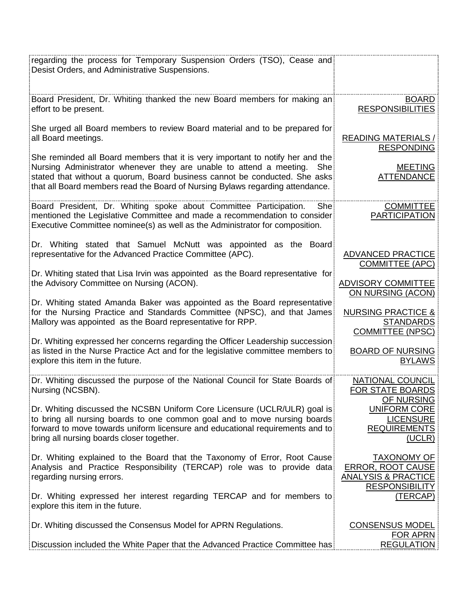| regarding the process for Temporary Suspension Orders (TSO), Cease and<br>Desist Orders, and Administrative Suspensions.                                                                                                                                                                                                 |                                                                                                           |
|--------------------------------------------------------------------------------------------------------------------------------------------------------------------------------------------------------------------------------------------------------------------------------------------------------------------------|-----------------------------------------------------------------------------------------------------------|
| Board President, Dr. Whiting thanked the new Board members for making an<br>effort to be present.                                                                                                                                                                                                                        | <b>BOARD</b><br><b>RESPONSIBILITIES</b>                                                                   |
| She urged all Board members to review Board material and to be prepared for<br>all Board meetings.                                                                                                                                                                                                                       | <b>READING MATERIALS /</b><br><b>RESPONDING</b>                                                           |
| She reminded all Board members that it is very important to notify her and the<br>Nursing Administrator whenever they are unable to attend a meeting. She<br>stated that without a quorum, Board business cannot be conducted. She asks<br>that all Board members read the Board of Nursing Bylaws regarding attendance. | <b>MEETING</b><br><b>ATTENDANCE</b>                                                                       |
| Board President, Dr. Whiting spoke about Committee Participation.<br>She<br>mentioned the Legislative Committee and made a recommendation to consider<br>Executive Committee nominee(s) as well as the Administrator for composition.                                                                                    | <b>COMMITTEE</b><br><b>PARTICIPATION</b>                                                                  |
| Dr. Whiting stated that Samuel McNutt was appointed as the Board<br>representative for the Advanced Practice Committee (APC).                                                                                                                                                                                            | <b>ADVANCED PRACTICE</b><br><b>COMMITTEE (APC)</b>                                                        |
| Dr. Whiting stated that Lisa Irvin was appointed as the Board representative for<br>the Advisory Committee on Nursing (ACON).                                                                                                                                                                                            | <b>ADVISORY COMMITTEE</b><br>ON NURSING (ACON)                                                            |
| Dr. Whiting stated Amanda Baker was appointed as the Board representative<br>for the Nursing Practice and Standards Committee (NPSC), and that James<br>Mallory was appointed as the Board representative for RPP.                                                                                                       | <b>NURSING PRACTICE &amp;</b><br><b>STANDARDS</b><br><b>COMMITTEE (NPSC)</b>                              |
| Dr. Whiting expressed her concerns regarding the Officer Leadership succession<br>as listed in the Nurse Practice Act and for the legislative committee members to<br>explore this item in the future.                                                                                                                   | <b>BOARD OF NURSING</b><br><b>BYLAWS</b>                                                                  |
| Dr. Whiting discussed the purpose of the National Council for State Boards of<br>Nursing (NCSBN).                                                                                                                                                                                                                        | NATIONAL COUNCIL<br>FOR STATE BOARDS<br>OF NURSING                                                        |
| Dr. Whiting discussed the NCSBN Uniform Core Licensure (UCLR/ULR) goal is<br>to bring all nursing boards to one common goal and to move nursing boards<br>forward to move towards uniform licensure and educational requirements and to<br>bring all nursing boards closer together.                                     | <b>UNIFORM CORE</b><br><b>LICENSURE</b><br><b>REQUIREMENTS</b><br>(UCLR)                                  |
| Dr. Whiting explained to the Board that the Taxonomy of Error, Root Cause<br>Analysis and Practice Responsibility (TERCAP) role was to provide data<br>regarding nursing errors.                                                                                                                                         | <b>TAXONOMY OF</b><br><b>ERROR, ROOT CAUSE</b><br><b>ANALYSIS &amp; PRACTICE</b><br><b>RESPONSIBILITY</b> |
| Dr. Whiting expressed her interest regarding TERCAP and for members to<br>explore this item in the future.                                                                                                                                                                                                               | <u>(TERCAP)</u>                                                                                           |
| Dr. Whiting discussed the Consensus Model for APRN Regulations.                                                                                                                                                                                                                                                          | <b>CONSENSUS MODEL</b><br><b>FOR APRN</b>                                                                 |
| Discussion included the White Paper that the Advanced Practice Committee has                                                                                                                                                                                                                                             | <b>REGULATION</b>                                                                                         |